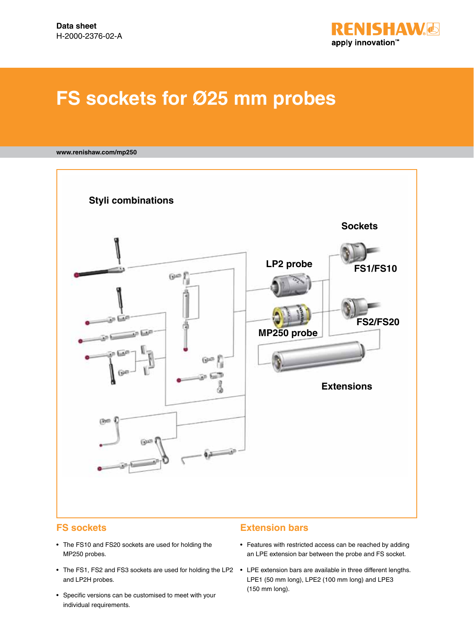

# **FS sockets for Ø25 mm probes**

#### **www.renishaw.com/mp250**



## **FS sockets**

- The FS10 and FS20 sockets are used for holding the MP250 probes.
- The FS1, FS2 and FS3 sockets are used for holding the LP2 LPE extension bars are available in three different lengths. and LP2H probes.
- • Specific versions can be customised to meet with your individual requirements.

#### **Extension bars**

- Features with restricted access can be reached by adding an LPE extension bar between the probe and FS socket.
- LPE1 (50 mm long), LPE2 (100 mm long) and LPE3 (150 mm long).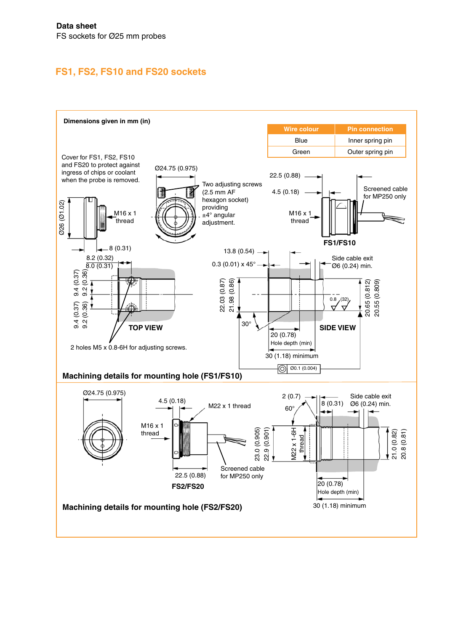# **FS1, FS2, FS10 and FS20 sockets**

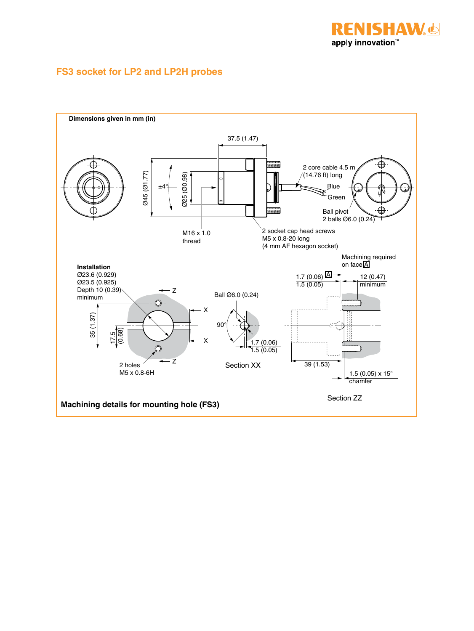

## **FS3 socket for LP2 and LP2H probes**